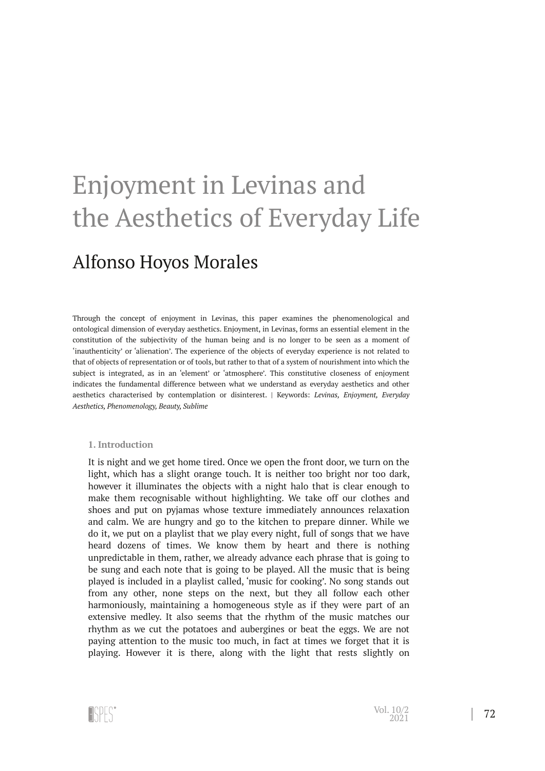# Enjoyment in Levinas and the Aesthetics of Everyday Life

## Alfonso Hoyos Morales

Through the concept of enjoyment in Levinas, this paper examines the phenomenological and ontological dimension of everyday aesthetics. Enjoyment, in Levinas, forms an essential element in the constitution of the subjectivity of the human being and is no longer to be seen as a moment of 'inauthenticity' or 'alienation'. The experience of the objects of everyday experience is not related to that of objects of representation or of tools, but rather to that of a system of nourishment into which the subject is integrated, as in an 'element' or 'atmosphere'. This constitutive closeness of enjoyment indicates the fundamental difference between what we understand as everyday aesthetics and other aesthetics characterised by contemplation or disinterest. | Keywords: *Levinas, Enjoyment, Everyday Aesthetics, Phenomenology, Beauty, Sublime*

### **1. Introduction**

It is night and we get home tired. Once we open the front door, we turn on the light, which has a slight orange touch. It is neither too bright nor too dark, however it illuminates the objects with a night halo that is clear enough to make them recognisable without highlighting. We take off our clothes and shoes and put on pyjamas whose texture immediately announces relaxation and calm. We are hungry and go to the kitchen to prepare dinner. While we do it, we put on a playlist that we play every night, full of songs that we have heard dozens of times. We know them by heart and there is nothing unpredictable in them, rather, we already advance each phrase that is going to be sung and each note that is going to be played. All the music that is being played is included in a playlist called, 'music for cooking'. No song stands out from any other, none steps on the next, but they all follow each other harmoniously, maintaining a homogeneous style as if they were part of an extensive medley. It also seems that the rhythm of the music matches our rhythm as we cut the potatoes and aubergines or beat the eggs. We are not paying attention to the music too much, in fact at times we forget that it is playing. However it is there, along with the light that rests slightly on

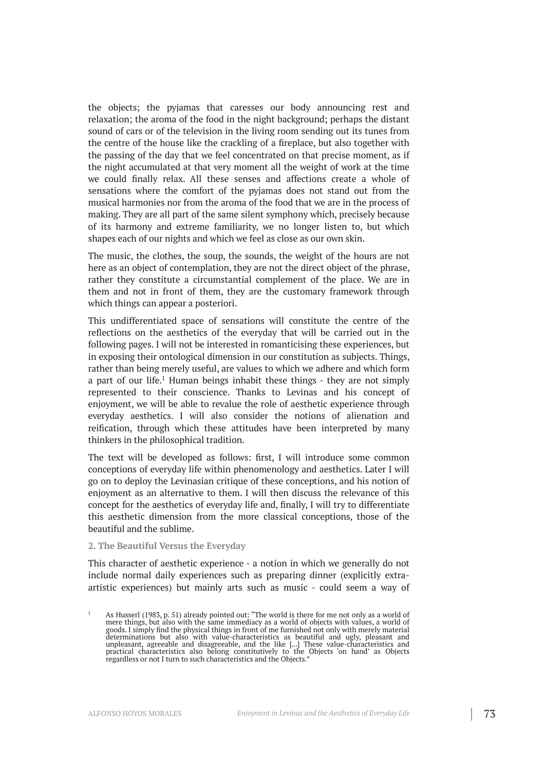the objects; the pyjamas that caresses our body announcing rest and relaxation; the aroma of the food in the night background; perhaps the distant sound of cars or of the television in the living room sending out its tunes from the centre of the house like the crackling of a fireplace, but also together with the passing of the day that we feel concentrated on that precise moment, as if the night accumulated at that very moment all the weight of work at the time we could finally relax. All these senses and affections create a whole of sensations where the comfort of the pyjamas does not stand out from the musical harmonies nor from the aroma of the food that we are in the process of making. They are all part of the same silent symphony which, precisely because of its harmony and extreme familiarity, we no longer listen to, but which shapes each of our nights and which we feel as close as our own skin.

The music, the clothes, the soup, the sounds, the weight of the hours are not here as an object of contemplation, they are not the direct object of the phrase, rather they constitute a circumstantial complement of the place. We are in them and not in front of them, they are the customary framework through which things can appear a posteriori.

This undifferentiated space of sensations will constitute the centre of the reflections on the aesthetics of the everyday that will be carried out in the following pages. I will not be interested in romanticising these experiences, but in exposing their ontological dimension in our constitution as subjects. Things, rather than being merely useful, are values to which we adhere and which form a part of our life.<sup>1</sup> Human beings inhabit these things - they are not simply represented to their conscience. Thanks to Levinas and his concept of enjoyment, we will be able to revalue the role of aesthetic experience through everyday aesthetics. I will also consider the notions of alienation and reification, through which these attitudes have been interpreted by many thinkers in the philosophical tradition.

The text will be developed as follows: first, I will introduce some common conceptions of everyday life within phenomenology and aesthetics. Later I will go on to deploy the Levinasian critique of these conceptions, and his notion of enjoyment as an alternative to them. I will then discuss the relevance of this concept for the aesthetics of everyday life and, finally, I will try to differentiate this aesthetic dimension from the more classical conceptions, those of the beautiful and the sublime.

### **2. The Beautiful Versus the Everyday**

This character of aesthetic experience - a notion in which we generally do not include normal daily experiences such as preparing dinner (explicitly extraartistic experiences) but mainly arts such as music - could seem a way of

<sup>&</sup>lt;sup>1</sup> As Husserl (1983, p. 51) already pointed out: "The world is there for me not only as a world of mere things, but also with the same immediacy as a world of objects with values, a world of goods. I simply find the physical things in front of me furnished not only with merely material determinations but also with value-characteristics as beautiful and ugly, pleasant and unpleasant, agreeable and disagreeable, and the like [...] These value-characteristics and practical characteristics also belong constitutively to the Objects 'on hand' as Objects regardless or not I turn to such characteristics and the Objects."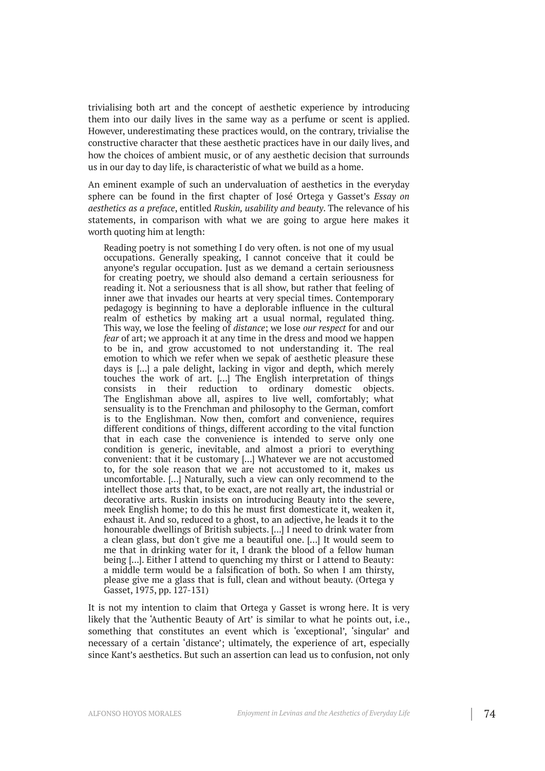trivialising both art and the concept of aesthetic experience by introducing them into our daily lives in the same way as a perfume or scent is applied. However, underestimating these practices would, on the contrary, trivialise the constructive character that these aesthetic practices have in our daily lives, and how the choices of ambient music, or of any aesthetic decision that surrounds us in our day to day life, is characteristic of what we build as a home.

An eminent example of such an undervaluation of aesthetics in the everyday sphere can be found in the first chapter of José Ortega y Gasset's *Essay on aesthetics as a preface*, entitled *Ruskin, usability and beauty*. The relevance of his statements, in comparison with what we are going to argue here makes it worth quoting him at length:

Reading poetry is not something I do very often. is not one of my usual occupations. Generally speaking, I cannot conceive that it could be anyone's regular occupation. Just as we demand a certain seriousness for creating poetry, we should also demand a certain seriousness for reading it. Not a seriousness that is all show, but rather that feeling of inner awe that invades our hearts at very special times. Contemporary pedagogy is beginning to have a deplorable influence in the cultural realm of esthetics by making art a usual normal, regulated thing. This way, we lose the feeling of *distance*; we lose *our respect* for and our *fear* of art; we approach it at any time in the dress and mood we happen to be in, and grow accustomed to not understanding it. The real emotion to which we refer when we sepak of aesthetic pleasure these days is [...] a pale delight, lacking in vigor and depth, which merely touches the work of art. [...] The English interpretation of things consists in their reduction to ordinary domestic objects. The Englishman above all, aspires to live well, comfortably; what sensuality is to the Frenchman and philosophy to the German, comfort is to the Englishman. Now then, comfort and convenience, requires different conditions of things, different according to the vital function that in each case the convenience is intended to serve only one condition is generic, inevitable, and almost a priori to everything convenient: that it be customary [...] Whatever we are not accustomed to, for the sole reason that we are not accustomed to it, makes us uncomfortable. [...] Naturally, such a view can only recommend to the intellect those arts that, to be exact, are not really art, the industrial or decorative arts. Ruskin insists on introducing Beauty into the severe, meek English home; to do this he must first domesticate it, weaken it, exhaust it. And so, reduced to a ghost, to an adjective, he leads it to the honourable dwellings of British subjects. [...] I need to drink water from a clean glass, but don't give me a beautiful one. [...] It would seem to me that in drinking water for it, I drank the blood of a fellow human being [...]. Either I attend to quenching my thirst or I attend to Beauty: a middle term would be a falsification of both. So when I am thirsty, please give me a glass that is full, clean and without beauty. (Ortega y Gasset, 1975, pp. 127-131)

It is not my intention to claim that Ortega y Gasset is wrong here. It is very likely that the 'Authentic Beauty of Art' is similar to what he points out, i.e., something that constitutes an event which is 'exceptional', 'singular' and necessary of a certain 'distance'; ultimately, the experience of art, especially since Kant's aesthetics. But such an assertion can lead us to confusion, not only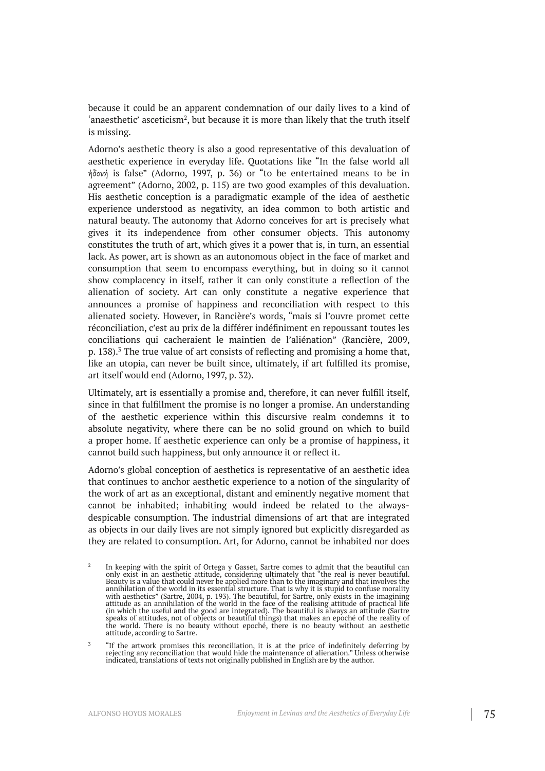because it could be an apparent condemnation of our daily lives to a kind of 'anaesthetic' asceticism<sup>2</sup>, but because it is more than likely that the truth itself is missing.

Adorno's aesthetic theory is also a good representative of this devaluation of aesthetic experience in everyday life. Quotations like "In the false world all ἡδονή is false" (Adorno, 1997, p. 36) or "to be entertained means to be in agreement" (Adorno, 2002, p. 115) are two good examples of this devaluation. His aesthetic conception is a paradigmatic example of the idea of aesthetic experience understood as negativity, an idea common to both artistic and natural beauty. The autonomy that Adorno conceives for art is precisely what gives it its independence from other consumer objects. This autonomy constitutes the truth of art, which gives it a power that is, in turn, an essential lack. As power, art is shown as an autonomous object in the face of market and consumption that seem to encompass everything, but in doing so it cannot show complacency in itself, rather it can only constitute a reflection of the alienation of society. Art can only constitute a negative experience that announces a promise of happiness and reconciliation with respect to this alienated society. However, in Rancière's words, "mais si l'ouvre promet cette réconciliation, c'est au prix de la différer indéfiniment en repoussant toutes les conciliations qui cacheraient le maintien de l'aliénation" (Rancière, 2009, p. 138). <sup>3</sup> The true value of art consists of reflecting and promising a home that, like an utopia, can never be built since, ultimately, if art fulfilled its promise, art itself would end (Adorno, 1997, p. 32).

Ultimately, art is essentially a promise and, therefore, it can never fulfill itself, since in that fulfillment the promise is no longer a promise. An understanding of the aesthetic experience within this discursive realm condemns it to absolute negativity, where there can be no solid ground on which to build a proper home. If aesthetic experience can only be a promise of happiness, it cannot build such happiness, but only announce it or reflect it.

Adorno's global conception of aesthetics is representative of an aesthetic idea that continues to anchor aesthetic experience to a notion of the singularity of the work of art as an exceptional, distant and eminently negative moment that cannot be inhabited; inhabiting would indeed be related to the alwaysdespicable consumption. The industrial dimensions of art that are integrated as objects in our daily lives are not simply ignored but explicitly disregarded as they are related to consumption. Art, for Adorno, cannot be inhabited nor does

<sup>2</sup> In keeping with the spirit of Ortega y Gasset, Sartre comes to admit that the beautiful can only exist in an aesthetic attitude, considering ultimately that "the real is never beautiful. Beauty is a value that could never be applied more than to the imaginary and that involves the annihilation of the world in its essential structure. That is why it is stupid to confuse morality with aesthetics" (Sartre, 2004, p. 193). The beautiful, for Sartre, only exists in the imagining attitude as an annihilation of the world in the face of the realising attitude of practical life (in which the useful and the good are integrated). The beautiful is always an attitude (Sartre speaks of attitudes, not of objects or beautiful things) that makes an epoché of the reality of the world. There is no beauty without epoché, there is no beauty without an aesthetic attitude, according to Sartre.

<sup>3</sup> "If the artwork promises this reconciliation, it is at the price of indefinitely deferring by rejecting any reconciliation that would hide the maintenance of alienation." Unless otherwise indicated, translations of texts not originally published in English are by the author.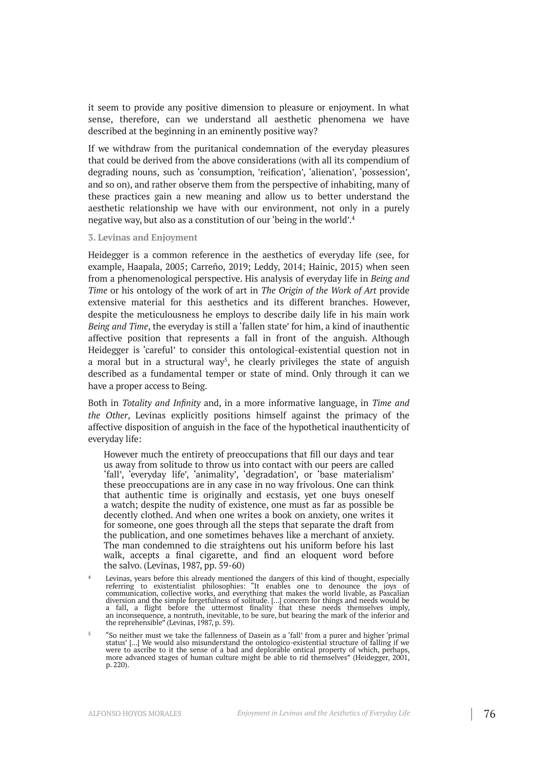it seem to provide any positive dimension to pleasure or enjoyment. In what sense, therefore, can we understand all aesthetic phenomena we have described at the beginning in an eminently positive way?

If we withdraw from the puritanical condemnation of the everyday pleasures that could be derived from the above considerations (with all its compendium of degrading nouns, such as 'consumption, 'reification', 'alienation', 'possession', and so on), and rather observe them from the perspective of inhabiting, many of these practices gain a new meaning and allow us to better understand the aesthetic relationship we have with our environment, not only in a purely negative way, but also as a constitution of our 'being in the world'. 4

#### **3. Levinas and Enjoyment**

Heidegger is a common reference in the aesthetics of everyday life (see, for example, Haapala, 2005; Carreño, 2019; Leddy, 2014; Hainic, 2015) when seen from a phenomenological perspective. His analysis of everyday life in *Being and Time* or his ontology of the work of art in *The Origin of the Work of Art* provide extensive material for this aesthetics and its different branches. However, despite the meticulousness he employs to describe daily life in his main work *Being and Time*, the everyday is still a 'fallen state' for him, a kind of inauthentic affective position that represents a fall in front of the anguish. Although Heidegger is 'careful' to consider this ontological-existential question not in a moral but in a structural way<sup>5</sup>, he clearly privileges the state of anguish described as a fundamental temper or state of mind. Only through it can we have a proper access to Being.

Both in *Totality and Infinity* and, in a more informative language, in *Time and the Other*, Levinas explicitly positions himself against the primacy of the affective disposition of anguish in the face of the hypothetical inauthenticity of everyday life:

However much the entirety of preoccupations that fill our days and tear us away from solitude to throw us into contact with our peers are called 'fall', 'everyday life', 'animality', 'degradation', or 'base materialism' these preoccupations are in any case in no way frivolous. One can think that authentic time is originally and ecstasis, yet one buys oneself a watch; despite the nudity of existence, one must as far as possible be decently clothed. And when one writes a book on anxiety, one writes it for someone, one goes through all the steps that separate the draft from the publication, and one sometimes behaves like a merchant of anxiety. The man condemned to die straightens out his uniform before his last walk, accepts a final cigarette, and find an eloquent word before the salvo. (Levinas, 1987, pp. 59-60)

- $4$  Levinas, years before this already mentioned the dangers of this kind of thought, especially referring to existentialist philosophies: "It enables one to denounce the joys of communication, collective works, and everything that makes the world livable, as Pascalian diversion and the simple forgetfulness of solitude. […] concern for things and needs would be a fall, a flight before the uttermost finality that these needs themselves imply, an inconsequence, a nontruth, inevitable, to be sure, but bearing the mark of the inferior and the reprehensible" (Levinas, 1987, p. 59).
- 5 "So neither must we take the fallenness of Dasein as a 'fall' from a purer and higher 'primal status' [...] We would also misunderstand the ontologico-existential structure of falling if we were to ascribe to it the sense of a bad and deplorable ontical property of which, perhaps, more advanced stages of human culture might be able to rid themselves" (Heidegger, 2001, p. 220).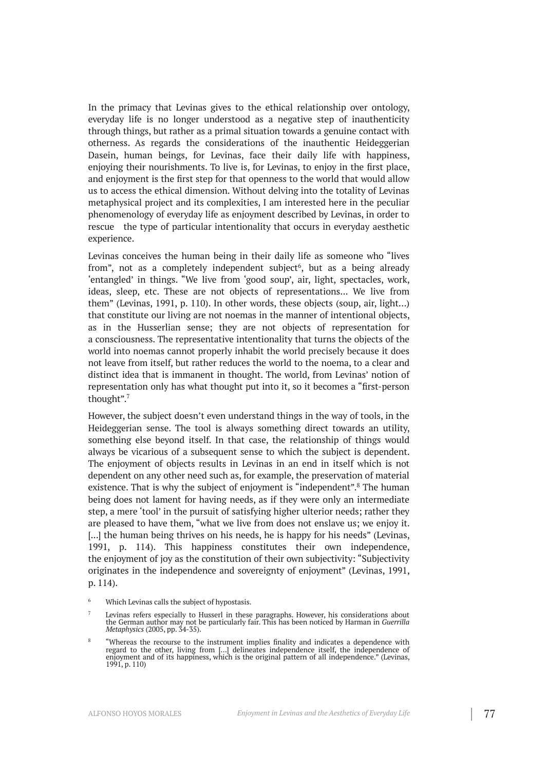In the primacy that Levinas gives to the ethical relationship over ontology, everyday life is no longer understood as a negative step of inauthenticity through things, but rather as a primal situation towards a genuine contact with otherness. As regards the considerations of the inauthentic Heideggerian Dasein, human beings, for Levinas, face their daily life with happiness, enjoying their nourishments. To live is, for Levinas, to enjoy in the first place, and enjoyment is the first step for that openness to the world that would allow us to access the ethical dimension. Without delving into the totality of Levinas metaphysical project and its complexities, I am interested here in the peculiar phenomenology of everyday life as enjoyment described by Levinas, in order to rescue the type of particular intentionality that occurs in everyday aesthetic experience.

Levinas conceives the human being in their daily life as someone who "lives from", not as a completely independent subject 6 , but as a being already 'entangled' in things. "We live from 'good soup', air, light, spectacles, work, ideas, sleep, etc. These are not objects of representations... We live from them" (Levinas, 1991, p. 110). In other words, these objects (soup, air, light…) that constitute our living are not noemas in the manner of intentional objects, as in the Husserlian sense; they are not objects of representation for a consciousness. The representative intentionality that turns the objects of the world into noemas cannot properly inhabit the world precisely because it does not leave from itself, but rather reduces the world to the noema, to a clear and distinct idea that is immanent in thought. The world, from Levinas' notion of representation only has what thought put into it, so it becomes a "first-person thought". 7

However, the subject doesn't even understand things in the way of tools, in the Heideggerian sense. The tool is always something direct towards an utility, something else beyond itself. In that case, the relationship of things would always be vicarious of a subsequent sense to which the subject is dependent. The enjoyment of objects results in Levinas in an end in itself which is not dependent on any other need such as, for example, the preservation of material existence. That is why the subject of enjoyment is "independent".<sup>8</sup> The human being does not lament for having needs, as if they were only an intermediate step, a mere 'tool' in the pursuit of satisfying higher ulterior needs; rather they are pleased to have them, "what we live from does not enslave us; we enjoy it. [...] the human being thrives on his needs, he is happy for his needs" (Levinas, 1991, p. 114). This happiness constitutes their own independence, the enjoyment of joy as the constitution of their own subjectivity: "Subjectivity originates in the independence and sovereignty of enjoyment" (Levinas, 1991, p. 114).

<sup>6</sup> Which Levinas calls the subject of hypostasis.

<sup>7</sup> Levinas refers especially to Husserl in these paragraphs. However, his considerations about the German author may not be particularly fair. This has been noticed by Harman in *Guerrilla Metaphysics* (2005, pp. 34-35).

<sup>8</sup> "Whereas the recourse to the instrument implies finality and indicates a dependence with regard to the other, living from […] delineates independence itself, the independence of enjoyment and of its happiness, which is the original pattern of all independence." (Levinas, 1991, p. 110)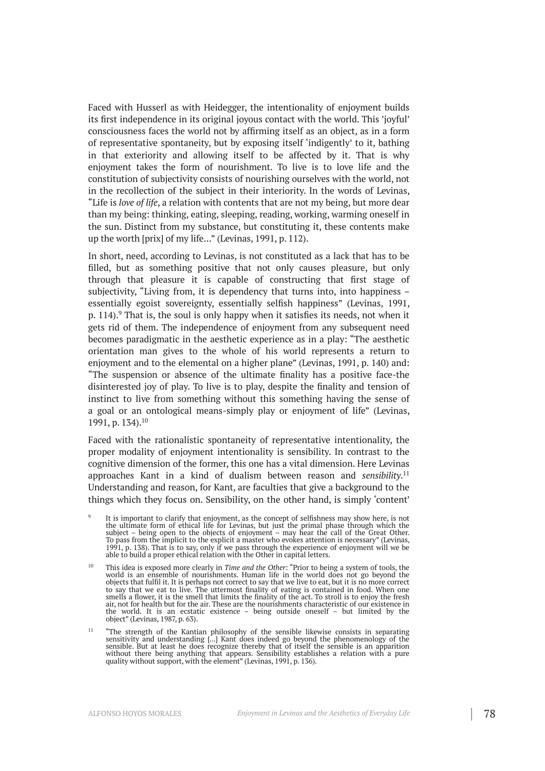Faced with Husserl as with Heidegger, the intentionality of enjoyment builds its first independence in its original joyous contact with the world. This 'joyful' consciousness faces the world not by affirming itself as an object, as in a form of representative spontaneity, but by exposing itself 'indigently' to it, bathing in that exteriority and allowing itself to be affected by it. That is why enjoyment takes the form of nourishment. To live is to love life and the constitution of subjectivity consists of nourishing ourselves with the world, not in the recollection of the subject in their interiority. In the words of Levinas, "Life is *love of life*, a relation with contents that are not my being, but more dear than my being: thinking, eating, sleeping, reading, working, warming oneself in the sun. Distinct from my substance, but constituting it, these contents make up the worth [prix] of my life..." (Levinas, 1991, p. 112).

In short, need, according to Levinas, is not constituted as a lack that has to be filled, but as something positive that not only causes pleasure, but only through that pleasure it is capable of constructing that first stage of subjectivity, "Living from, it is dependency that turns into, into happiness – essentially egoist sovereignty, essentially selfish happiness" (Levinas, 1991, p. 114). <sup>9</sup> That is, the soul is only happy when it satisfies its needs, not when it gets rid of them. The independence of enjoyment from any subsequent need becomes paradigmatic in the aesthetic experience as in a play: "The aesthetic orientation man gives to the whole of his world represents a return to enjoyment and to the elemental on a higher plane" (Levinas, 1991, p. 140) and: "The suspension or absence of the ultimate finality has a positive face-the disinterested joy of play. To live is to play, despite the finality and tension of instinct to live from something without this something having the sense of a goal or an ontological means-simply play or enjoyment of life" (Levinas, 1991, p. 134). 10

Faced with the rationalistic spontaneity of representative intentionality, the proper modality of enjoyment intentionality is sensibility. In contrast to the cognitive dimension of the former, this one has a vital dimension. Here Levinas approaches Kant in a kind of dualism between reason and *sensibility*. 11 Understanding and reason, for Kant, are faculties that give a background to the things which they focus on. Sensibility, on the other hand, is simply 'content'

<sup>9</sup> It is important to clarify that enjoyment, as the concept of selfishness may show here, is not the ultimate form of ethical life for Levinas, but just the primal phase through which the subject – being open to the objects of enjoyment – may hear the call of the Great Other. To pass from the implicit to the explicit a master who evokes attention is necessary" (Levinas, 1991, p. 138). That is to say, only if we pass through the experience of enjoyment will we be able to build a proper ethical relation with the Other in capital letters.

<sup>10</sup> This idea is exposed more clearly in *Time and the Other*: "Prior to being a system of tools, the world is an ensemble of nourishments. Human life in the world does not go beyond the objects that fulfil it. It is perhaps not correct to say that we live to eat, but it is no more correct to say that we eat to live. The uttermost finality of eating is contained in food. When one smells a flower, it is the smell that limits the finality of the act. To stroll is to enjoy the fresh air, not for health but for the air. These are the nourishments characteristic of our existence in the world. It is an ecstatic existence – being outside oneself – but limited by the object" (Levinas, 1987, p. 63).

<sup>11</sup> "The strength of the Kantian philosophy of the sensible likewise consists in separating sensitivity and understanding [...] Kant does indeed go beyond the phenomenology of the sensible. But at least he does recognize thereby that of itself the sensible is an apparition without there being anything that appears. Sensibility establishes a relation with a pure quality without support, with the element" (Levinas, 1991, p. 136).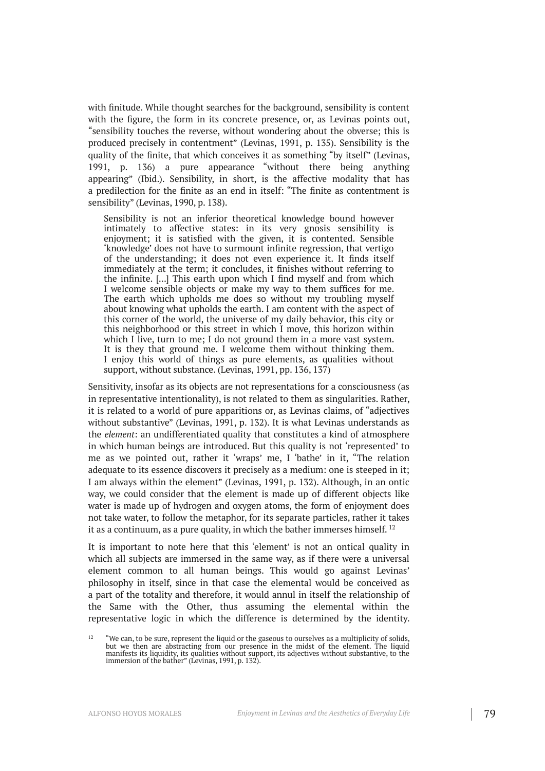with finitude. While thought searches for the background, sensibility is content with the figure, the form in its concrete presence, or, as Levinas points out, "sensibility touches the reverse, without wondering about the obverse; this is produced precisely in contentment" (Levinas, 1991, p. 135). Sensibility is the quality of the finite, that which conceives it as something "by itself" (Levinas, 1991, p. 136) a pure appearance "without there being anything appearing" (Ibid.). Sensibility, in short, is the affective modality that has a predilection for the finite as an end in itself: "The finite as contentment is sensibility" (Levinas, 1990, p. 138).

Sensibility is not an inferior theoretical knowledge bound however intimately to affective states: in its very gnosis sensibility is enjoyment; it is satisfied with the given, it is contented. Sensible 'knowledge' does not have to surmount infinite regression, that vertigo of the understanding; it does not even experience it. It finds itself immediately at the term; it concludes, it finishes without referring to the infinite. [...] This earth upon which I find myself and from which I welcome sensible objects or make my way to them suffices for me. The earth which upholds me does so without my troubling myself about knowing what upholds the earth. I am content with the aspect of this corner of the world, the universe of my daily behavior, this city or this neighborhood or this street in which I move, this horizon within which I live, turn to me; I do not ground them in a more vast system. It is they that ground me. I welcome them without thinking them. I enjoy this world of things as pure elements, as qualities without support, without substance. (Levinas, 1991, pp. 136, 137)

Sensitivity, insofar as its objects are not representations for a consciousness (as in representative intentionality), is not related to them as singularities. Rather, it is related to a world of pure apparitions or, as Levinas claims, of "adjectives without substantive" (Levinas, 1991, p. 132). It is what Levinas understands as the *element*: an undifferentiated quality that constitutes a kind of atmosphere in which human beings are introduced. But this quality is not 'represented' to me as we pointed out, rather it 'wraps' me, I 'bathe' in it, "The relation adequate to its essence discovers it precisely as a medium: one is steeped in it; I am always within the element" (Levinas, 1991, p. 132). Although, in an ontic way, we could consider that the element is made up of different objects like water is made up of hydrogen and oxygen atoms, the form of enjoyment does not take water, to follow the metaphor, for its separate particles, rather it takes it as a continuum, as a pure quality, in which the bather immerses himself. 12

It is important to note here that this 'element' is not an ontical quality in which all subjects are immersed in the same way, as if there were a universal element common to all human beings. This would go against Levinas' philosophy in itself, since in that case the elemental would be conceived as a part of the totality and therefore, it would annul in itself the relationship of the Same with the Other, thus assuming the elemental within the representative logic in which the difference is determined by the identity.

<sup>12</sup> "We can, to be sure, represent the liquid or the gaseous to ourselves as a multiplicity of solids, but we then are abstracting from our presence in the midst of the element. The liquid manifests its liquidity, its qualities without support, its adjectives without substantive, to the immersion of the bather" (Levinas, 1991, p. 132).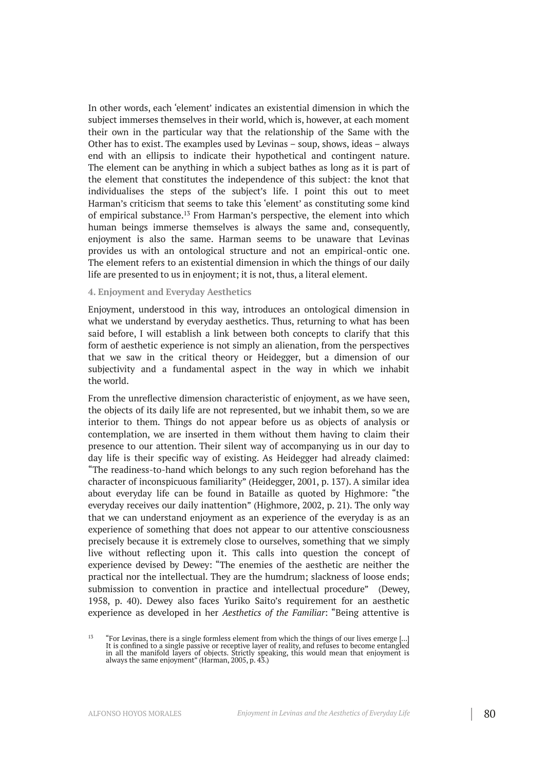In other words, each 'element' indicates an existential dimension in which the subject immerses themselves in their world, which is, however, at each moment their own in the particular way that the relationship of the Same with the Other has to exist. The examples used by Levinas – soup, shows, ideas – always end with an ellipsis to indicate their hypothetical and contingent nature. The element can be anything in which a subject bathes as long as it is part of the element that constitutes the independence of this subject: the knot that individualises the steps of the subject's life. I point this out to meet Harman's criticism that seems to take this 'element' as constituting some kind of empirical substance.<sup>13</sup> From Harman's perspective, the element into which human beings immerse themselves is always the same and, consequently, enjoyment is also the same. Harman seems to be unaware that Levinas provides us with an ontological structure and not an empirical-ontic one. The element refers to an existential dimension in which the things of our daily life are presented to us in enjoyment; it is not, thus, a literal element.

#### **4. Enjoyment and Everyday Aesthetics**

Enjoyment, understood in this way, introduces an ontological dimension in what we understand by everyday aesthetics. Thus, returning to what has been said before, I will establish a link between both concepts to clarify that this form of aesthetic experience is not simply an alienation, from the perspectives that we saw in the critical theory or Heidegger, but a dimension of our subjectivity and a fundamental aspect in the way in which we inhabit the world.

From the unreflective dimension characteristic of enjoyment, as we have seen, the objects of its daily life are not represented, but we inhabit them, so we are interior to them. Things do not appear before us as objects of analysis or contemplation, we are inserted in them without them having to claim their presence to our attention. Their silent way of accompanying us in our day to day life is their specific way of existing. As Heidegger had already claimed: "The readiness-to-hand which belongs to any such region beforehand has the character of inconspicuous familiarity" (Heidegger, 2001, p. 137). A similar idea about everyday life can be found in Bataille as quoted by Highmore: "the everyday receives our daily inattention" (Highmore, 2002, p. 21). The only way that we can understand enjoyment as an experience of the everyday is as an experience of something that does not appear to our attentive consciousness precisely because it is extremely close to ourselves, something that we simply live without reflecting upon it. This calls into question the concept of experience devised by Dewey: "The enemies of the aesthetic are neither the practical nor the intellectual. They are the humdrum; slackness of loose ends; submission to convention in practice and intellectual procedure" (Dewey, 1958, p. 40). Dewey also faces Yuriko Saito's requirement for an aesthetic experience as developed in her *Aesthetics of the Familiar*: "Being attentive is

<sup>13</sup> "For Levinas, there is a single formless element from which the things of our lives emerge [...] It is confined to a single passive or receptive layer of reality, and refuses to become entangled in all the manifold layers of objects. Strictly speaking, this would mean that enjoyment is always the same enjoyment" (Harman, 2005, p. 43.)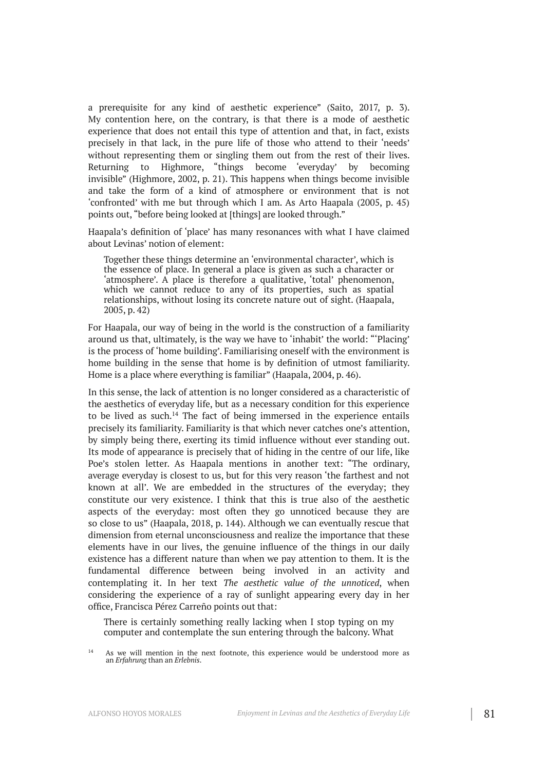a prerequisite for any kind of aesthetic experience" (Saito, 2017, p. 3). My contention here, on the contrary, is that there is a mode of aesthetic experience that does not entail this type of attention and that, in fact, exists precisely in that lack, in the pure life of those who attend to their 'needs' without representing them or singling them out from the rest of their lives. Returning to Highmore, "things become 'everyday' by becoming invisible" (Highmore, 2002, p. 21). This happens when things become invisible and take the form of a kind of atmosphere or environment that is not 'confronted' with me but through which I am. As Arto Haapala (2005, p. 45) points out, "before being looked at [things] are looked through."

Haapala's definition of 'place' has many resonances with what I have claimed about Levinas' notion of element:

Together these things determine an 'environmental character', which is the essence of place. In general a place is given as such a character or 'atmosphere'. A place is therefore a qualitative, 'total' phenomenon, which we cannot reduce to any of its properties, such as spatial relationships, without losing its concrete nature out of sight. (Haapala, 2005, p. 42)

For Haapala, our way of being in the world is the construction of a familiarity around us that, ultimately, is the way we have to 'inhabit' the world: "'Placing' is the process of 'home building'. Familiarising oneself with the environment is home building in the sense that home is by definition of utmost familiarity. Home is a place where everything is familiar" (Haapala, 2004, p. 46).

In this sense, the lack of attention is no longer considered as a characteristic of the aesthetics of everyday life, but as a necessary condition for this experience to be lived as such.<sup>14</sup> The fact of being immersed in the experience entails precisely its familiarity. Familiarity is that which never catches one's attention, by simply being there, exerting its timid influence without ever standing out. Its mode of appearance is precisely that of hiding in the centre of our life, like Poe's stolen letter. As Haapala mentions in another text: "The ordinary, average everyday is closest to us, but for this very reason 'the farthest and not known at all'. We are embedded in the structures of the everyday; they constitute our very existence. I think that this is true also of the aesthetic aspects of the everyday: most often they go unnoticed because they are so close to us" (Haapala, 2018, p. 144). Although we can eventually rescue that dimension from eternal unconsciousness and realize the importance that these elements have in our lives, the genuine influence of the things in our daily existence has a different nature than when we pay attention to them. It is the fundamental difference between being involved in an activity and contemplating it. In her text *The aesthetic value of the unnoticed*, when considering the experience of a ray of sunlight appearing every day in her office, Francisca Pérez Carreño points out that:

There is certainly something really lacking when I stop typing on my computer and contemplate the sun entering through the balcony. What

<sup>&</sup>lt;sup>14</sup> As we will mention in the next footnote, this experience would be understood more as an *Erfahrung* than an *Erlebnis*.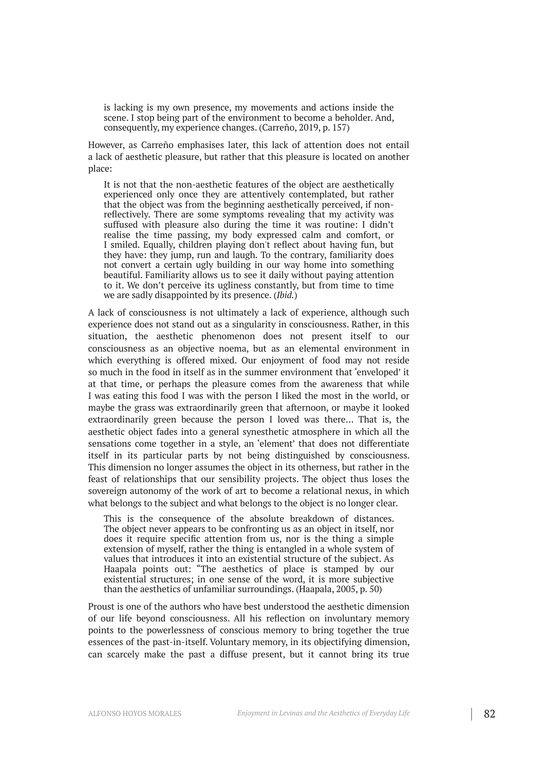is lacking is my own presence, my movements and actions inside the scene. I stop being part of the environment to become a beholder. And, consequently, my experience changes. (Carreño, 2019, p. 157)

However, as Carreño emphasises later, this lack of attention does not entail a lack of aesthetic pleasure, but rather that this pleasure is located on another place:

It is not that the non-aesthetic features of the object are aesthetically experienced only once they are attentively contemplated, but rather that the object was from the beginning aesthetically perceived, if nonreflectively. There are some symptoms revealing that my activity was suffused with pleasure also during the time it was routine: I didn't realise the time passing, my body expressed calm and comfort, or I smiled. Equally, children playing don't reflect about having fun, but they have: they jump, run and laugh. To the contrary, familiarity does not convert a certain ugly building in our way home into something beautiful. Familiarity allows us to see it daily without paying attention to it. We don't perceive its ugliness constantly, but from time to time we are sadly disappointed by its presence. (*Ibid.*)

A lack of consciousness is not ultimately a lack of experience, although such experience does not stand out as a singularity in consciousness. Rather, in this situation, the aesthetic phenomenon does not present itself to our consciousness as an objective noema, but as an elemental environment in which everything is offered mixed. Our enjoyment of food may not reside so much in the food in itself as in the summer environment that 'enveloped' it at that time, or perhaps the pleasure comes from the awareness that while I was eating this food I was with the person I liked the most in the world, or maybe the grass was extraordinarily green that afternoon, or maybe it looked extraordinarily green because the person I loved was there… That is, the aesthetic object fades into a general synesthetic atmosphere in which all the sensations come together in a style, an 'element' that does not differentiate itself in its particular parts by not being distinguished by consciousness. This dimension no longer assumes the object in its otherness, but rather in the feast of relationships that our sensibility projects. The object thus loses the sovereign autonomy of the work of art to become a relational nexus, in which what belongs to the subject and what belongs to the object is no longer clear.

This is the consequence of the absolute breakdown of distances. The object never appears to be confronting us as an object in itself, nor does it require specific attention from us, nor is the thing a simple extension of myself, rather the thing is entangled in a whole system of values that introduces it into an existential structure of the subject. As Haapala points out: "The aesthetics of place is stamped by our existential structures; in one sense of the word, it is more subjective than the aesthetics of unfamiliar surroundings. (Haapala, 2005, p. 50)

Proust is one of the authors who have best understood the aesthetic dimension of our life beyond consciousness. All his reflection on involuntary memory points to the powerlessness of conscious memory to bring together the true essences of the past-in-itself. Voluntary memory, in its objectifying dimension, can scarcely make the past a diffuse present, but it cannot bring its true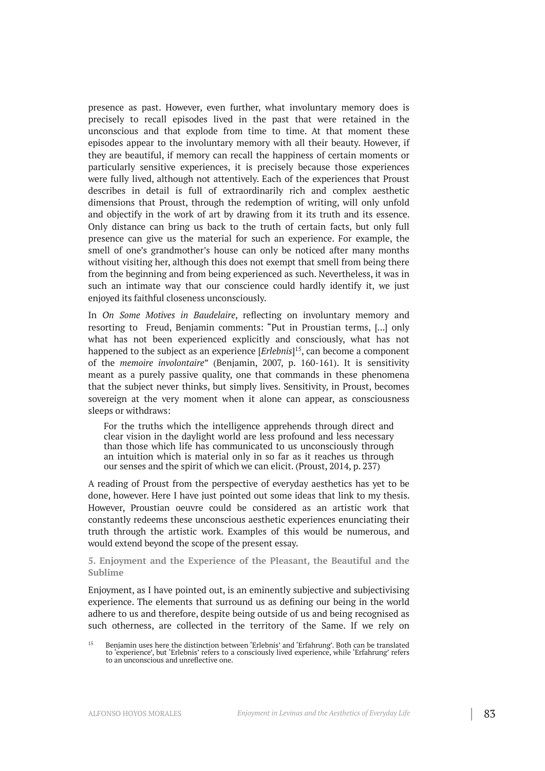presence as past. However, even further, what involuntary memory does is precisely to recall episodes lived in the past that were retained in the unconscious and that explode from time to time. At that moment these episodes appear to the involuntary memory with all their beauty. However, if they are beautiful, if memory can recall the happiness of certain moments or particularly sensitive experiences, it is precisely because those experiences were fully lived, although not attentively. Each of the experiences that Proust describes in detail is full of extraordinarily rich and complex aesthetic dimensions that Proust, through the redemption of writing, will only unfold and objectify in the work of art by drawing from it its truth and its essence. Only distance can bring us back to the truth of certain facts, but only full presence can give us the material for such an experience. For example, the smell of one's grandmother's house can only be noticed after many months without visiting her, although this does not exempt that smell from being there from the beginning and from being experienced as such. Nevertheless, it was in such an intimate way that our conscience could hardly identify it, we just enjoyed its faithful closeness unconsciously.

In *On Some Motives in Baudelaire*, reflecting on involuntary memory and resorting to Freud, Benjamin comments: "Put in Proustian terms, [...] only what has not been experienced explicitly and consciously, what has not happened to the subject as an experience [*Erlebnis*] 15 , can become a component of the *memoire involontaire*" (Benjamin, 2007, p. 160-161). It is sensitivity meant as a purely passive quality, one that commands in these phenomena that the subject never thinks, but simply lives. Sensitivity, in Proust, becomes sovereign at the very moment when it alone can appear, as consciousness sleeps or withdraws:

For the truths which the intelligence apprehends through direct and clear vision in the daylight world are less profound and less necessary than those which life has communicated to us unconsciously through an intuition which is material only in so far as it reaches us through our senses and the spirit of which we can elicit. (Proust, 2014, p. 237)

A reading of Proust from the perspective of everyday aesthetics has yet to be done, however. Here I have just pointed out some ideas that link to my thesis. However, Proustian oeuvre could be considered as an artistic work that constantly redeems these unconscious aesthetic experiences enunciating their truth through the artistic work. Examples of this would be numerous, and would extend beyond the scope of the present essay.

**5. Enjoyment and the Experience of the Pleasant, the Beautiful and the Sublime**

Enjoyment, as I have pointed out, is an eminently subjective and subjectivising experience. The elements that surround us as defining our being in the world adhere to us and therefore, despite being outside of us and being recognised as such otherness, are collected in the territory of the Same. If we rely on

<sup>&</sup>lt;sup>15</sup> Benjamin uses here the distinction between 'Erlebnis' and 'Erfahrung'. Both can be translated to 'experience', but 'Erlebnis' refers to a consciously lived experience, while 'Erfahrung' refers to an unconscious and unreflective one.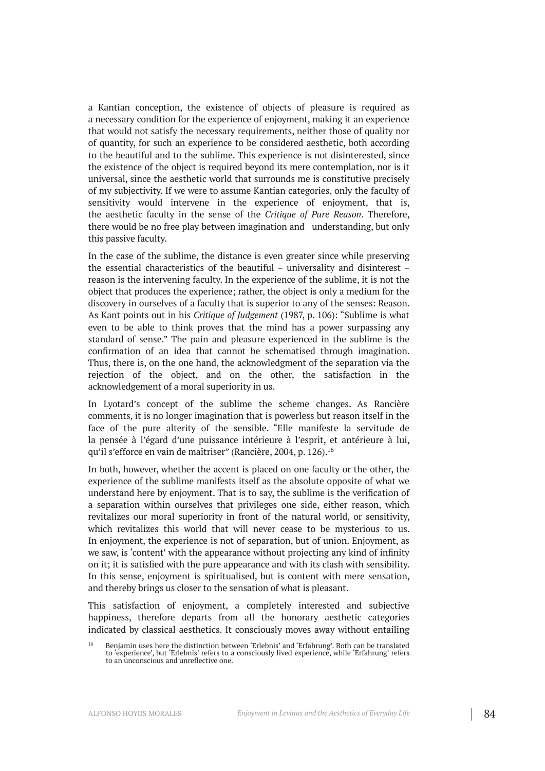a Kantian conception, the existence of objects of pleasure is required as a necessary condition for the experience of enjoyment, making it an experience that would not satisfy the necessary requirements, neither those of quality nor of quantity, for such an experience to be considered aesthetic, both according to the beautiful and to the sublime. This experience is not disinterested, since the existence of the object is required beyond its mere contemplation, nor is it universal, since the aesthetic world that surrounds me is constitutive precisely of my subjectivity. If we were to assume Kantian categories, only the faculty of sensitivity would intervene in the experience of enjoyment, that is, the aesthetic faculty in the sense of the *Critique of Pure Reason*. Therefore, there would be no free play between imagination and understanding, but only this passive faculty.

In the case of the sublime, the distance is even greater since while preserving the essential characteristics of the beautiful – universality and disinterest – reason is the intervening faculty. In the experience of the sublime, it is not the object that produces the experience; rather, the object is only a medium for the discovery in ourselves of a faculty that is superior to any of the senses: Reason. As Kant points out in his *Critique of Judgement* (1987, p. 106): "Sublime is what even to be able to think proves that the mind has a power surpassing any standard of sense." The pain and pleasure experienced in the sublime is the confirmation of an idea that cannot be schematised through imagination. Thus, there is, on the one hand, the acknowledgment of the separation via the rejection of the object, and on the other, the satisfaction in the acknowledgement of a moral superiority in us.

In Lyotard's concept of the sublime the scheme changes. As Rancière comments, it is no longer imagination that is powerless but reason itself in the face of the pure alterity of the sensible. "Elle manifeste la servitude de la pensée à l'égard d'une puissance intérieure à l'esprit, et antérieure à lui, qu'il s'efforce en vain de maîtriser" (Rancière, 2004, p. 126). 16

In both, however, whether the accent is placed on one faculty or the other, the experience of the sublime manifests itself as the absolute opposite of what we understand here by enjoyment. That is to say, the sublime is the verification of a separation within ourselves that privileges one side, either reason, which revitalizes our moral superiority in front of the natural world, or sensitivity, which revitalizes this world that will never cease to be mysterious to us. In enjoyment, the experience is not of separation, but of union. Enjoyment, as we saw, is 'content' with the appearance without projecting any kind of infinity on it; it is satisfied with the pure appearance and with its clash with sensibility. In this sense, enjoyment is spiritualised, but is content with mere sensation, and thereby brings us closer to the sensation of what is pleasant.

This satisfaction of enjoyment, a completely interested and subjective happiness, therefore departs from all the honorary aesthetic categories indicated by classical aesthetics. It consciously moves away without entailing

<sup>&</sup>lt;sup>16</sup> Benjamin uses here the distinction between 'Erlebnis' and 'Erfahrung'. Both can be translated to 'experience', but 'Erlebnis' refers to a consciously lived experience, while 'Erfahrung' refers to an unconscious and unreflective one.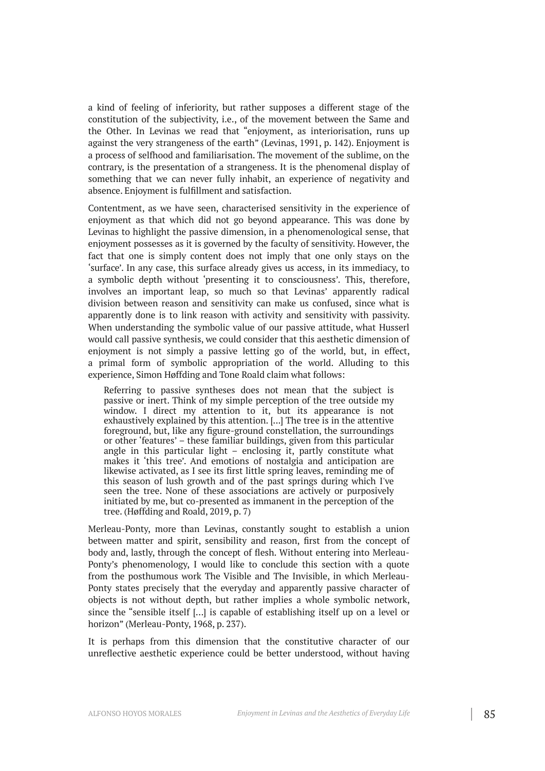a kind of feeling of inferiority, but rather supposes a different stage of the constitution of the subjectivity, i.e., of the movement between the Same and the Other. In Levinas we read that "enjoyment, as interiorisation, runs up against the very strangeness of the earth" (Levinas, 1991, p. 142). Enjoyment is a process of selfhood and familiarisation. The movement of the sublime, on the contrary, is the presentation of a strangeness. It is the phenomenal display of something that we can never fully inhabit, an experience of negativity and absence. Enjoyment is fulfillment and satisfaction.

Contentment, as we have seen, characterised sensitivity in the experience of enjoyment as that which did not go beyond appearance. This was done by Levinas to highlight the passive dimension, in a phenomenological sense, that enjoyment possesses as it is governed by the faculty of sensitivity. However, the fact that one is simply content does not imply that one only stays on the 'surface'. In any case, this surface already gives us access, in its immediacy, to a symbolic depth without 'presenting it to consciousness'. This, therefore, involves an important leap, so much so that Levinas' apparently radical division between reason and sensitivity can make us confused, since what is apparently done is to link reason with activity and sensitivity with passivity. When understanding the symbolic value of our passive attitude, what Husserl would call passive synthesis, we could consider that this aesthetic dimension of enjoyment is not simply a passive letting go of the world, but, in effect, a primal form of symbolic appropriation of the world. Alluding to this experience, Simon Høffding and Tone Roald claim what follows:

Referring to passive syntheses does not mean that the subject is passive or inert. Think of my simple perception of the tree outside my window. I direct my attention to it, but its appearance is not exhaustively explained by this attention. [...] The tree is in the attentive foreground, but, like any figure-ground constellation, the surroundings or other 'features' – these familiar buildings, given from this particular angle in this particular light – enclosing it, partly constitute what makes it 'this tree'. And emotions of nostalgia and anticipation are likewise activated, as I see its first little spring leaves, reminding me of this season of lush growth and of the past springs during which I've seen the tree. None of these associations are actively or purposively initiated by me, but co-presented as immanent in the perception of the tree. (Høffding and Roald, 2019, p. 7)

Merleau-Ponty, more than Levinas, constantly sought to establish a union between matter and spirit, sensibility and reason, first from the concept of body and, lastly, through the concept of flesh. Without entering into Merleau-Ponty's phenomenology, I would like to conclude this section with a quote from the posthumous work The Visible and The Invisible, in which Merleau-Ponty states precisely that the everyday and apparently passive character of objects is not without depth, but rather implies a whole symbolic network, since the "sensible itself […] is capable of establishing itself up on a level or horizon" (Merleau-Ponty, 1968, p. 237).

It is perhaps from this dimension that the constitutive character of our unreflective aesthetic experience could be better understood, without having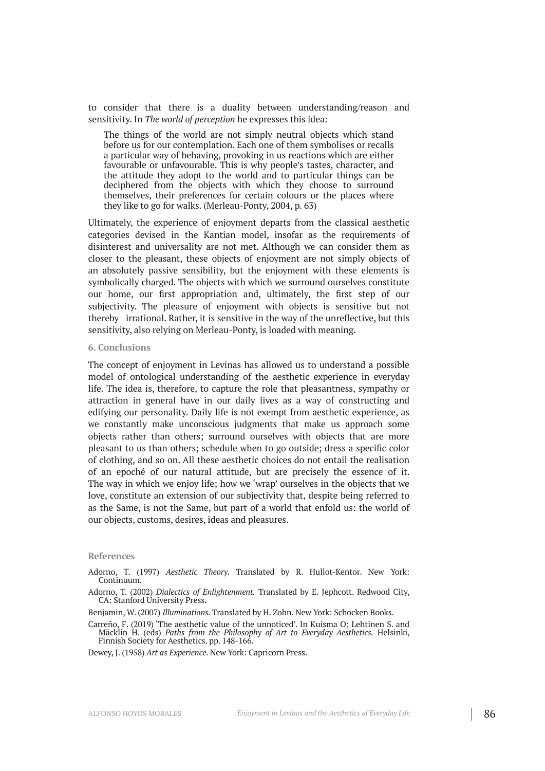to consider that there is a duality between understanding/reason and sensitivity. In *The world of perception* he expresses this idea:

The things of the world are not simply neutral objects which stand before us for our contemplation. Each one of them symbolises or recalls a particular way of behaving, provoking in us reactions which are either favourable or unfavourable. This is why people's tastes, character, and the attitude they adopt to the world and to particular things can be deciphered from the objects with which they choose to surround themselves, their preferences for certain colours or the places where they like to go for walks. (Merleau-Ponty, 2004, p. 63)

Ultimately, the experience of enjoyment departs from the classical aesthetic categories devised in the Kantian model, insofar as the requirements of disinterest and universality are not met. Although we can consider them as closer to the pleasant, these objects of enjoyment are not simply objects of an absolutely passive sensibility, but the enjoyment with these elements is symbolically charged. The objects with which we surround ourselves constitute our home, our first appropriation and, ultimately, the first step of our subjectivity. The pleasure of enjoyment with objects is sensitive but not thereby irrational. Rather, it is sensitive in the way of the unreflective, but this sensitivity, also relying on Merleau-Ponty, is loaded with meaning.

#### **6. Conclusions**

The concept of enjoyment in Levinas has allowed us to understand a possible model of ontological understanding of the aesthetic experience in everyday life. The idea is, therefore, to capture the role that pleasantness, sympathy or attraction in general have in our daily lives as a way of constructing and edifying our personality. Daily life is not exempt from aesthetic experience, as we constantly make unconscious judgments that make us approach some objects rather than others; surround ourselves with objects that are more pleasant to us than others; schedule when to go outside; dress a specific color of clothing, and so on. All these aesthetic choices do not entail the realisation of an epoché of our natural attitude, but are precisely the essence of it. The way in which we enjoy life; how we 'wrap' ourselves in the objects that we love, constitute an extension of our subjectivity that, despite being referred to as the Same, is not the Same, but part of a world that enfold us: the world of our objects, customs, desires, ideas and pleasures.

#### **References**

Adorno, T. (1997) *Aesthetic Theory*. Translated by R. Hullot-Kentor. New York: Continuum.

Adorno, T. (2002) *Dialectics of Enlightenment.* Translated by E. Jephcott. Redwood City, CA: Stanford University Press.

Benjamin, W. (2007) *Illuminations.* Translated by H. Zohn. New York: Schocken Books.

Carreño, F. (2019) 'The aesthetic value of the unnoticed'. In Kuisma O; Lehtinen S. and Mäcklin H. (eds) *Paths from the Philosophy of Art to Everyday Aesthetics.* Helsinki, Finnish Society for Aesthetics. pp. 148-166.

Dewey, J. (1958) *Art as Experience*. New York: Capricorn Press.